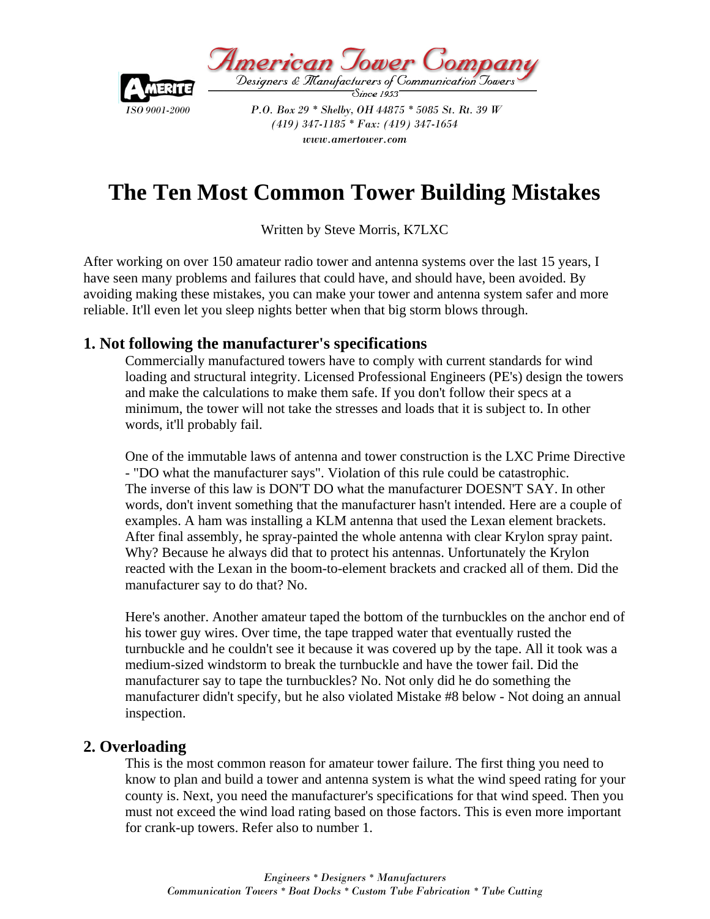

American Jower Com Designers & Manufacturers of Communication Jowers'

*ISO 9001-2000* P.O. Box 29 \* Shelby, OH 44875 \* 5085 St. Rt. 39 W  *(419) 347-1185 \* Fax: (419) 347-1654 www.amertower.com* 

# **The Ten Most Common Tower Building Mistakes**

Written by Steve Morris, K7LXC

After working on over 150 amateur radio tower and antenna systems over the last 15 years, I have seen many problems and failures that could have, and should have, been avoided. By avoiding making these mistakes, you can make your tower and antenna system safer and more reliable. It'll even let you sleep nights better when that big storm blows through.

## **1. Not following the manufacturer's specifications**

Commercially manufactured towers have to comply with current standards for wind loading and structural integrity. Licensed Professional Engineers (PE's) design the towers and make the calculations to make them safe. If you don't follow their specs at a minimum, the tower will not take the stresses and loads that it is subject to. In other words, it'll probably fail.

One of the immutable laws of antenna and tower construction is the LXC Prime Directive - "DO what the manufacturer says". Violation of this rule could be catastrophic. The inverse of this law is DON'T DO what the manufacturer DOESN'T SAY. In other words, don't invent something that the manufacturer hasn't intended. Here are a couple of examples. A ham was installing a KLM antenna that used the Lexan element brackets. After final assembly, he spray-painted the whole antenna with clear Krylon spray paint. Why? Because he always did that to protect his antennas. Unfortunately the Krylon reacted with the Lexan in the boom-to-element brackets and cracked all of them. Did the manufacturer say to do that? No.

Here's another. Another amateur taped the bottom of the turnbuckles on the anchor end of his tower guy wires. Over time, the tape trapped water that eventually rusted the turnbuckle and he couldn't see it because it was covered up by the tape. All it took was a medium-sized windstorm to break the turnbuckle and have the tower fail. Did the manufacturer say to tape the turnbuckles? No. Not only did he do something the manufacturer didn't specify, but he also violated Mistake #8 below - Not doing an annual inspection.

#### **2. Overloading**

This is the most common reason for amateur tower failure. The first thing you need to know to plan and build a tower and antenna system is what the wind speed rating for your county is. Next, you need the manufacturer's specifications for that wind speed. Then you must not exceed the wind load rating based on those factors. This is even more important for crank-up towers. Refer also to number 1.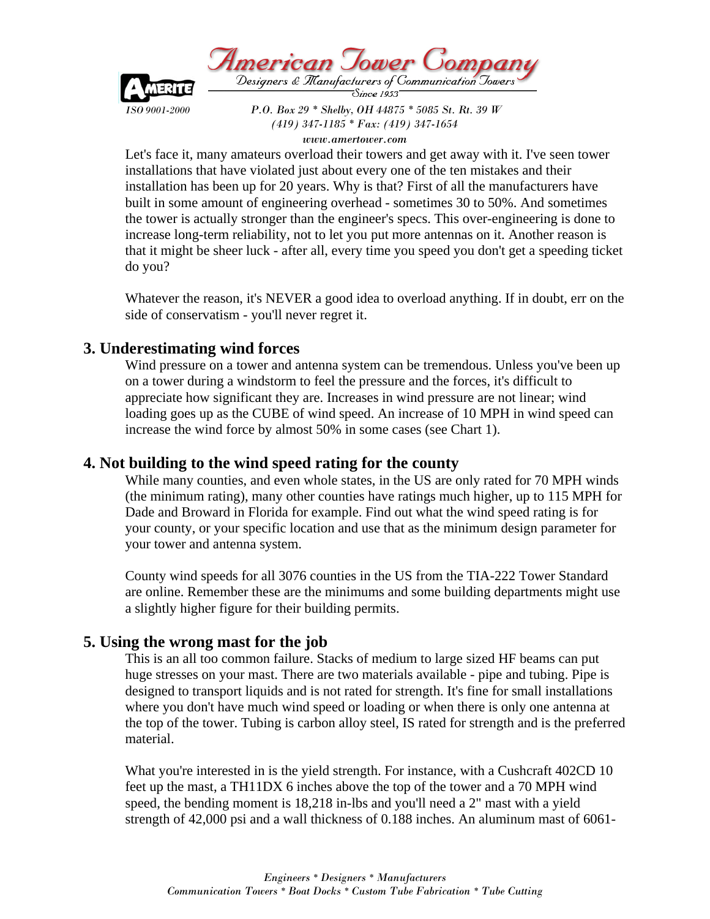



*ISO 9001-2000* P.O. Box 29 \* Shelby, OH 44875 \* 5085 St. Rt. 39 W

 *(419) 347-1185 \* Fax: (419) 347-1654 www.amertower.com* 

Let's face it, many amateurs overload their towers and get away with it. I've seen tower installations that have violated just about every one of the ten mistakes and their installation has been up for 20 years. Why is that? First of all the manufacturers have built in some amount of engineering overhead - sometimes 30 to 50%. And sometimes the tower is actually stronger than the engineer's specs. This over-engineering is done to increase long-term reliability, not to let you put more antennas on it. Another reason is that it might be sheer luck - after all, every time you speed you don't get a speeding ticket do you?

Whatever the reason, it's NEVER a good idea to overload anything. If in doubt, err on the side of conservatism - you'll never regret it.

### **3. Underestimating wind forces**

Wind pressure on a tower and antenna system can be tremendous. Unless you've been up on a tower during a windstorm to feel the pressure and the forces, it's difficult to appreciate how significant they are. Increases in wind pressure are not linear; wind loading goes up as the CUBE of wind speed. An increase of 10 MPH in wind speed can increase the wind force by almost 50% in some cases (see Chart 1).

## **4. Not building to the wind speed rating for the county**

While many counties, and even whole states, in the US are only rated for 70 MPH winds (the minimum rating), many other counties have ratings much higher, up to 115 MPH for Dade and Broward in Florida for example. Find out what the wind speed rating is for your county, or your specific location and use that as the minimum design parameter for your tower and antenna system.

County wind speeds for all 3076 counties in the US from the TIA-222 Tower Standard are online. Remember these are the minimums and some building departments might use a slightly higher figure for their building permits.

## **5. Using the wrong mast for the job**

This is an all too common failure. Stacks of medium to large sized HF beams can put huge stresses on your mast. There are two materials available - pipe and tubing. Pipe is designed to transport liquids and is not rated for strength. It's fine for small installations where you don't have much wind speed or loading or when there is only one antenna at the top of the tower. Tubing is carbon alloy steel, IS rated for strength and is the preferred material.

What you're interested in is the yield strength. For instance, with a Cushcraft 402CD 10 feet up the mast, a TH11DX 6 inches above the top of the tower and a 70 MPH wind speed, the bending moment is 18,218 in-lbs and you'll need a 2" mast with a yield strength of 42,000 psi and a wall thickness of 0.188 inches. An aluminum mast of 6061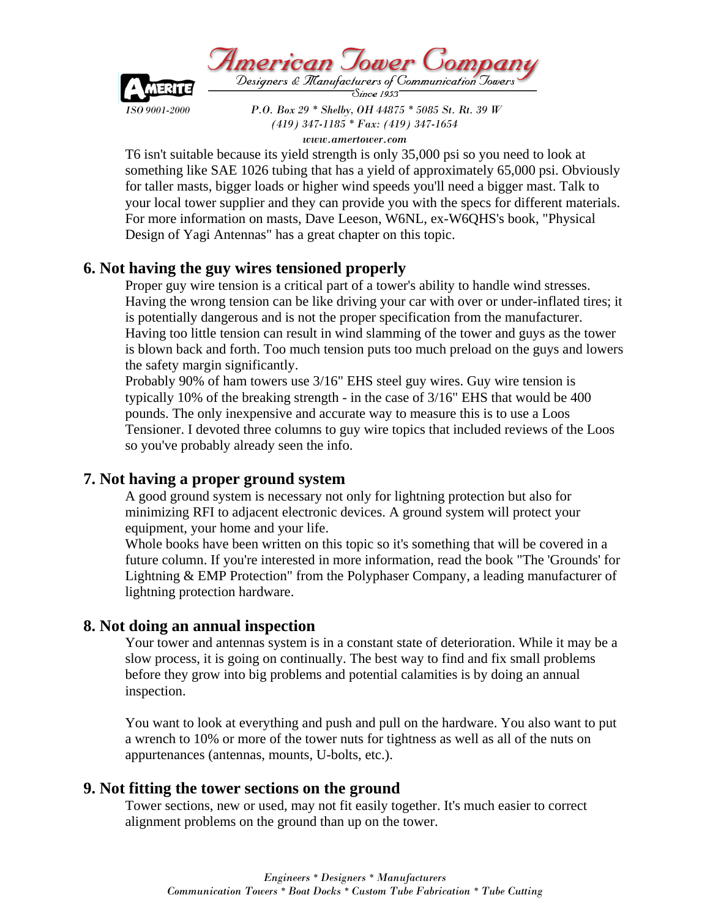American Jower Company Designers & Manufacturers of Communication Towers'



*ISO 9001-2000* P.O. Box 29 \* Shelby, OH 44875 \* 5085 St. Rt. 39 W  *(419) 347-1185 \* Fax: (419) 347-1654* 

*www.amertower.com* 

T6 isn't suitable because its yield strength is only 35,000 psi so you need to look at something like SAE 1026 tubing that has a yield of approximately 65,000 psi. Obviously for taller masts, bigger loads or higher wind speeds you'll need a bigger mast. Talk to your local tower supplier and they can provide you with the specs for different materials. For more information on masts, Dave Leeson, W6NL, ex-W6QHS's book, "Physical Design of Yagi Antennas" has a great chapter on this topic.

# **6. Not having the guy wires tensioned properly**

Proper guy wire tension is a critical part of a tower's ability to handle wind stresses. Having the wrong tension can be like driving your car with over or under-inflated tires; it is potentially dangerous and is not the proper specification from the manufacturer. Having too little tension can result in wind slamming of the tower and guys as the tower is blown back and forth. Too much tension puts too much preload on the guys and lowers the safety margin significantly.

Probably 90% of ham towers use 3/16" EHS steel guy wires. Guy wire tension is typically 10% of the breaking strength - in the case of 3/16" EHS that would be 400 pounds. The only inexpensive and accurate way to measure this is to use a Loos Tensioner. I devoted three columns to guy wire topics that included reviews of the Loos so you've probably already seen the info.

## **7. Not having a proper ground system**

A good ground system is necessary not only for lightning protection but also for minimizing RFI to adjacent electronic devices. A ground system will protect your equipment, your home and your life.

Whole books have been written on this topic so it's something that will be covered in a future column. If you're interested in more information, read the book "The 'Grounds' for Lightning & EMP Protection" from the Polyphaser Company, a leading manufacturer of lightning protection hardware.

## **8. Not doing an annual inspection**

Your tower and antennas system is in a constant state of deterioration. While it may be a slow process, it is going on continually. The best way to find and fix small problems before they grow into big problems and potential calamities is by doing an annual inspection.

You want to look at everything and push and pull on the hardware. You also want to put a wrench to 10% or more of the tower nuts for tightness as well as all of the nuts on appurtenances (antennas, mounts, U-bolts, etc.).

## **9. Not fitting the tower sections on the ground**

Tower sections, new or used, may not fit easily together. It's much easier to correct alignment problems on the ground than up on the tower.